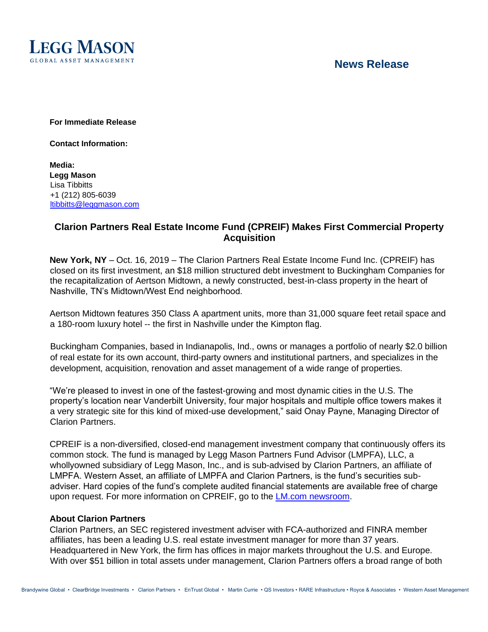

## **News Release**

**For Immediate Release** 

**Contact Information:** 

**Media: Legg Mason**  Lisa Tibbitts +1 (212) 805-6039 ltibbitts@leggmason.com

## **Clarion Partners Real Estate Income Fund (CPREIF) Makes First Commercial Property Acquisition**

**New York, NY** – Oct. 16, 2019 – The Clarion Partners Real Estate Income Fund Inc. (CPREIF) has closed on its first investment, an \$18 million structured debt investment to Buckingham Companies for the recapitalization of Aertson Midtown, a newly constructed, best-in-class property in the heart of Nashville, TN's Midtown/West End neighborhood.

Aertson Midtown features 350 Class A apartment units, more than 31,000 square feet retail space and a 180-room luxury hotel -- the first in Nashville under the Kimpton flag.

Buckingham Companies, based in Indianapolis, Ind., owns or manages a portfolio of nearly \$2.0 billion of real estate for its own account, third-party owners and institutional partners, and specializes in the development, acquisition, renovation and asset management of a wide range of properties.

"We're pleased to invest in one of the fastest-growing and most dynamic cities in the U.S. The property's location near Vanderbilt University, four major hospitals and multiple office towers makes it a very strategic site for this kind of mixed-use development," said Onay Payne, Managing Director of Clarion Partners.

CPREIF is a non-diversified, closed-end management investment company that continuously offers its common stock. The fund is managed by Legg Mason Partners Fund Advisor (LMPFA), LLC, a whollyowned subsidiary of Legg Mason, Inc., and is sub-advised by Clarion Partners, an affiliate of LMPFA. Western Asset, an affiliate of LMPFA and Clarion Partners, is the fund's securities subadviser. Hard copies of the fund's complete audited financial statements are available free of charge upon request. For more information on CPREIF, go to the [LM.com newsroom.](https://www.leggmason.com/en-us/about/newsroom.html)

#### **About Clarion Partners**

Clarion Partners, an SEC registered investment adviser with FCA-authorized and FINRA member affiliates, has been a leading U.S. real estate investment manager for more than 37 years. Headquartered in New York, the firm has offices in major markets throughout the U.S. and Europe. With over \$51 billion in total assets under management, Clarion Partners offers a broad range of both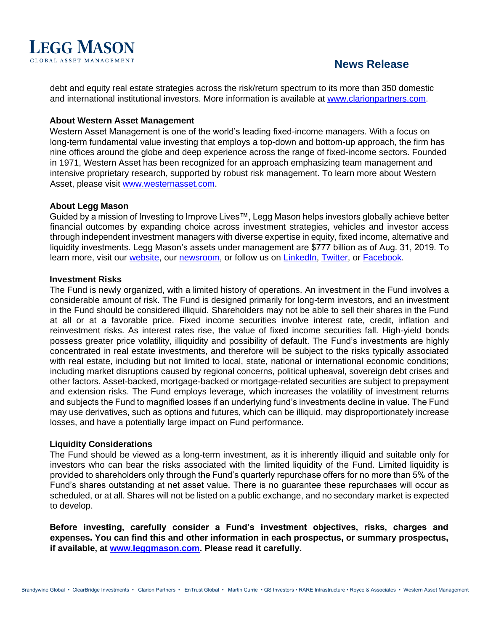# **LEGG MASON**

# **News Release**

debt and equity real estate strategies across the risk/return spectrum to its more than 350 domestic and international institutional investors. More information is available at [www.clarionpartners.com.](http://www.clarionpartners.com/)

#### **About Western Asset Management**

Western Asset Management is one of the world's leading fixed-income managers. With a focus on long-term fundamental value investing that employs a top-down and bottom-up approach, the firm has nine offices around the globe and deep experience across the range of fixed-income sectors. Founded in 1971, Western Asset has been recognized for an approach emphasizing team management and intensive proprietary research, supported by robust risk management. To learn more about Western Asset, please visit [www.westernasset.com.](http://www.westernasset.com/)

#### **About Legg Mason**

Guided by a mission of Investing to Improve Lives™, Legg Mason helps investors globally achieve better financial outcomes by expanding choice across investment strategies, vehicles and investor access through independent investment managers with diverse expertise in equity, fixed income, alternative and liquidity investments. Legg Mason's assets under management are \$777 billion as of Aug. 31, 2019. To learn more, visit our [website,](http://www.leggmason.com/) our [newsroom,](https://www.leggmason.com/en-us/about/newsroom.html) or follow us on [LinkedIn,](https://www.linkedin.com/company/5232/) [Twitter,](http://www.twitter.com/leggmason) or [Facebook.](http://www.facebook.com/leggmason)

#### **Investment Risks**

The Fund is newly organized, with a limited history of operations. An investment in the Fund involves a considerable amount of risk. The Fund is designed primarily for long-term investors, and an investment in the Fund should be considered illiquid. Shareholders may not be able to sell their shares in the Fund at all or at a favorable price. Fixed income securities involve interest rate, credit, inflation and reinvestment risks. As interest rates rise, the value of fixed income securities fall. High-yield bonds possess greater price volatility, illiquidity and possibility of default. The Fund's investments are highly concentrated in real estate investments, and therefore will be subject to the risks typically associated with real estate, including but not limited to local, state, national or international economic conditions; including market disruptions caused by regional concerns, political upheaval, sovereign debt crises and other factors. Asset-backed, mortgage-backed or mortgage-related securities are subject to prepayment and extension risks. The Fund employs leverage, which increases the volatility of investment returns and subjects the Fund to magnified losses if an underlying fund's investments decline in value. The Fund may use derivatives, such as options and futures, which can be illiquid, may disproportionately increase losses, and have a potentially large impact on Fund performance.

#### **Liquidity Considerations**

The Fund should be viewed as a long-term investment, as it is inherently illiquid and suitable only for investors who can bear the risks associated with the limited liquidity of the Fund. Limited liquidity is provided to shareholders only through the Fund's quarterly repurchase offers for no more than 5% of the Fund's shares outstanding at net asset value. There is no guarantee these repurchases will occur as scheduled, or at all. Shares will not be listed on a public exchange, and no secondary market is expected to develop.

**Before investing, carefully consider a Fund's investment objectives, risks, charges and expenses. You can find this and other information in each prospectus, or summary prospectus, if available, at [www.leggmason.com.](http://www.leggmason.com/) Please read it carefully.**